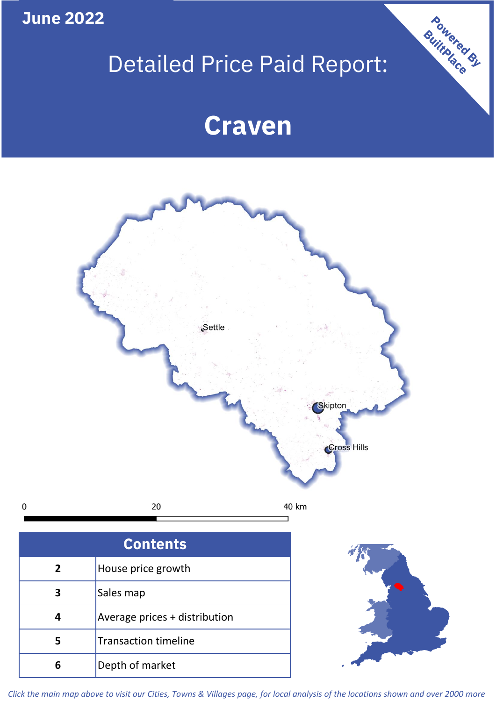**June 2022**

**5**

**4**

 $\mathbf 0$ 

# Detailed Price Paid Report:

Powered By

## **Craven**



*Click the main map above to visit our Cities, Towns & Villages page, for local analysis of the locations shown and over 2000 more*

Average prices + distribution

Transaction timeline

**6** Depth of market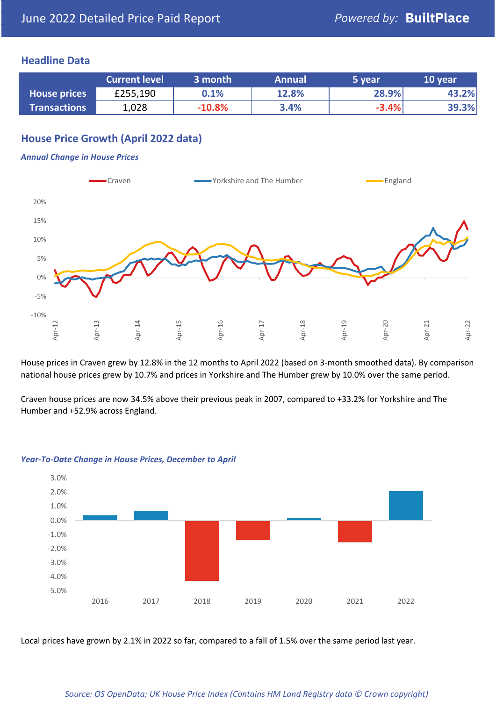#### **Headline Data**

|                     | <b>Current level</b> | 3 month  | <b>Annual</b> | 5 year  | 10 year |
|---------------------|----------------------|----------|---------------|---------|---------|
| <b>House prices</b> | £255,190             | 0.1%     | 12.8%         | 28.9%   | 43.2%   |
| <b>Transactions</b> | 1,028                | $-10.8%$ | 3.4%          | $-3.4%$ | 39.3%   |

#### **House Price Growth (April 2022 data)**

#### *Annual Change in House Prices*



House prices in Craven grew by 12.8% in the 12 months to April 2022 (based on 3-month smoothed data). By comparison national house prices grew by 10.7% and prices in Yorkshire and The Humber grew by 10.0% over the same period.

Craven house prices are now 34.5% above their previous peak in 2007, compared to +33.2% for Yorkshire and The Humber and +52.9% across England.



#### *Year-To-Date Change in House Prices, December to April*

Local prices have grown by 2.1% in 2022 so far, compared to a fall of 1.5% over the same period last year.

#### *Source: OS OpenData; UK House Price Index (Contains HM Land Registry data © Crown copyright)*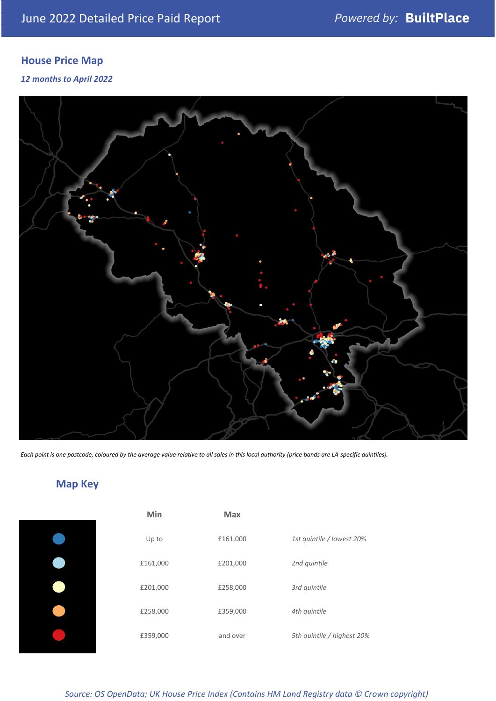### **House Price Map**

#### *12 months to April 2022*



*Each point is one postcode, coloured by the average value relative to all sales in this local authority (price bands are LA-specific quintiles).*

## **Map Key**

| Min      | <b>Max</b> |                            |
|----------|------------|----------------------------|
| Up to    | £161,000   | 1st quintile / lowest 20%  |
| £161,000 | £201,000   | 2nd quintile               |
| £201,000 | £258,000   | 3rd quintile               |
| £258,000 | £359,000   | 4th quintile               |
| £359,000 | and over   | 5th quintile / highest 20% |

#### *Source: OS OpenData; UK House Price Index (Contains HM Land Registry data © Crown copyright)*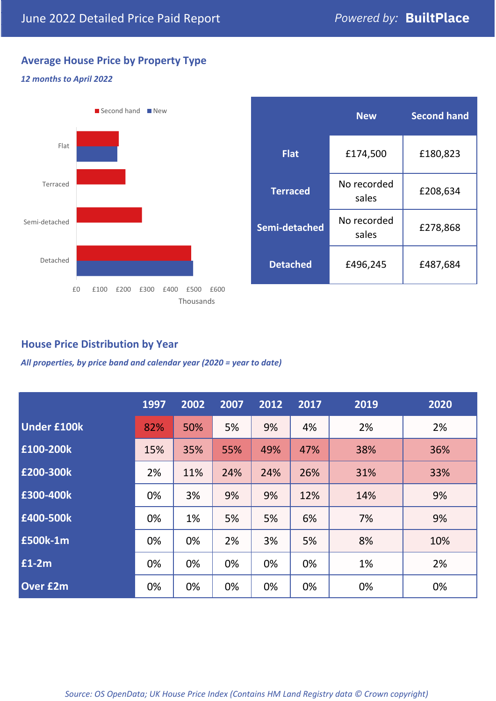### **Average House Price by Property Type**

#### *12 months to April 2022*



|                 | <b>New</b>           | <b>Second hand</b> |  |
|-----------------|----------------------|--------------------|--|
| <b>Flat</b>     | £174,500             | £180,823           |  |
| <b>Terraced</b> | No recorded<br>sales | £208,634           |  |
| Semi-detached   | No recorded<br>sales | £278,868           |  |
| <b>Detached</b> | £496,245             | £487,684           |  |

#### **House Price Distribution by Year**

*All properties, by price band and calendar year (2020 = year to date)*

|                    | 1997 | 2002 | 2007 | 2012 | 2017 | 2019 | 2020 |
|--------------------|------|------|------|------|------|------|------|
| <b>Under £100k</b> | 82%  | 50%  | 5%   | 9%   | 4%   | 2%   | 2%   |
| £100-200k          | 15%  | 35%  | 55%  | 49%  | 47%  | 38%  | 36%  |
| E200-300k          | 2%   | 11%  | 24%  | 24%  | 26%  | 31%  | 33%  |
| £300-400k          | 0%   | 3%   | 9%   | 9%   | 12%  | 14%  | 9%   |
| £400-500k          | 0%   | 1%   | 5%   | 5%   | 6%   | 7%   | 9%   |
| £500k-1m           | 0%   | 0%   | 2%   | 3%   | 5%   | 8%   | 10%  |
| £1-2m              | 0%   | 0%   | 0%   | 0%   | 0%   | 1%   | 2%   |
| <b>Over £2m</b>    | 0%   | 0%   | 0%   | 0%   | 0%   | 0%   | 0%   |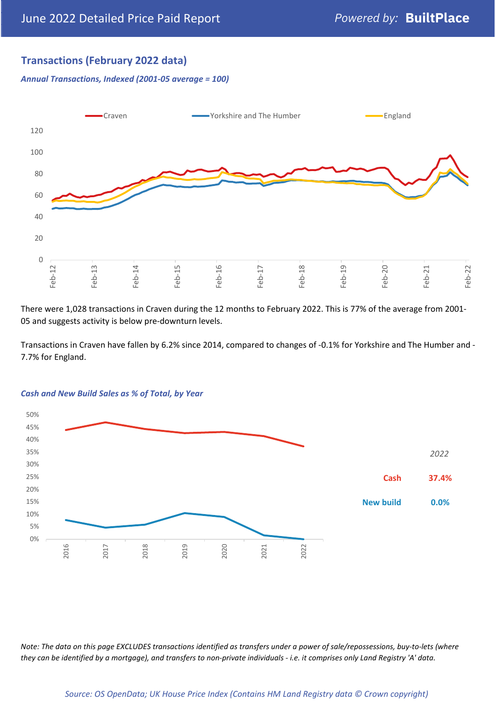#### **Transactions (February 2022 data)**

*Annual Transactions, Indexed (2001-05 average = 100)*



There were 1,028 transactions in Craven during the 12 months to February 2022. This is 77% of the average from 2001- 05 and suggests activity is below pre-downturn levels.

Transactions in Craven have fallen by 6.2% since 2014, compared to changes of -0.1% for Yorkshire and The Humber and - 7.7% for England.



#### *Cash and New Build Sales as % of Total, by Year*

*Note: The data on this page EXCLUDES transactions identified as transfers under a power of sale/repossessions, buy-to-lets (where they can be identified by a mortgage), and transfers to non-private individuals - i.e. it comprises only Land Registry 'A' data.*